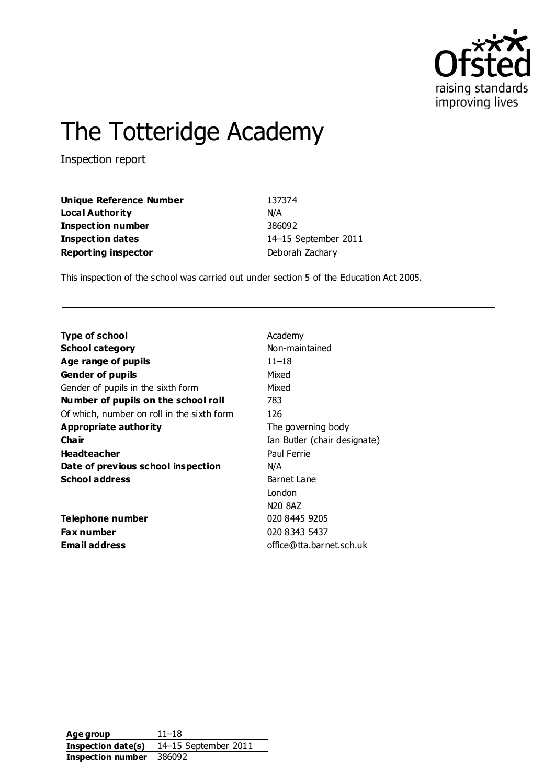

# The Totteridge Academy

Inspection report

| <b>Unique Reference Number</b> | 137374               |
|--------------------------------|----------------------|
| <b>Local Authority</b>         | N/A                  |
| <b>Inspection number</b>       | 386092               |
| Inspection dates               | 14-15 September 2011 |
| <b>Reporting inspector</b>     | Deborah Zachary      |

This inspection of the school was carried out under section 5 of the Education Act 2005.

| Type of school                             | Academy                         |
|--------------------------------------------|---------------------------------|
| <b>School category</b>                     | Non-maintained                  |
| Age range of pupils                        | $11 - 18$                       |
| <b>Gender of pupils</b>                    | Mixed                           |
| Gender of pupils in the sixth form         | Mixed                           |
| Number of pupils on the school roll        | 783                             |
| Of which, number on roll in the sixth form | 126                             |
| Appropriate authority                      | The governing body              |
| Cha ir                                     | Ian Butler (chair designate)    |
| <b>Headteacher</b>                         | Paul Ferrie                     |
| Date of previous school inspection         | N/A                             |
| <b>School address</b>                      | Barnet Lane                     |
|                                            | London                          |
|                                            | N <sub>20</sub> 8A <sub>Z</sub> |
| Telephone number                           | 020 8445 9205                   |
| <b>Fax number</b>                          | 020 8343 5437                   |
| <b>Email address</b>                       | office@tta.barnet.sch.uk        |

**Age group** 11–18 **Inspection date(s)** 14–15 September 2011 **Inspection number** 386092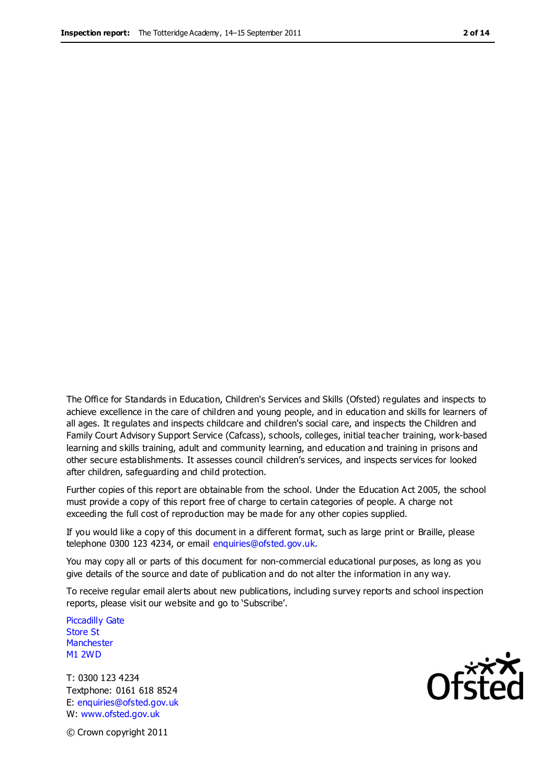The Office for Standards in Education, Children's Services and Skills (Ofsted) regulates and inspects to achieve excellence in the care of children and young people, and in education and skills for learners of all ages. It regulates and inspects childcare and children's social care, and inspects the Children and Family Court Advisory Support Service (Cafcass), schools, colleges, initial teacher training, work-based learning and skills training, adult and community learning, and education and training in prisons and other secure establishments. It assesses council children's services, and inspects services for looked after children, safeguarding and child protection.

Further copies of this report are obtainable from the school. Under the Education Act 2005, the school must provide a copy of this report free of charge to certain categories of people. A charge not exceeding the full cost of reproduction may be made for any other copies supplied.

If you would like a copy of this document in a different format, such as large print or Braille, please telephone 0300 123 4234, or email enquiries@ofsted.gov.uk.

You may copy all or parts of this document for non-commercial educational purposes, as long as you give details of the source and date of publication and do not alter the information in any way.

To receive regular email alerts about new publications, including survey reports and school inspection reports, please visit our website and go to 'Subscribe'.

Piccadilly Gate Store St **Manchester** M1 2WD

T: 0300 123 4234 Textphone: 0161 618 8524 E: enquiries@ofsted.gov.uk W: www.ofsted.gov.uk

© Crown copyright 2011

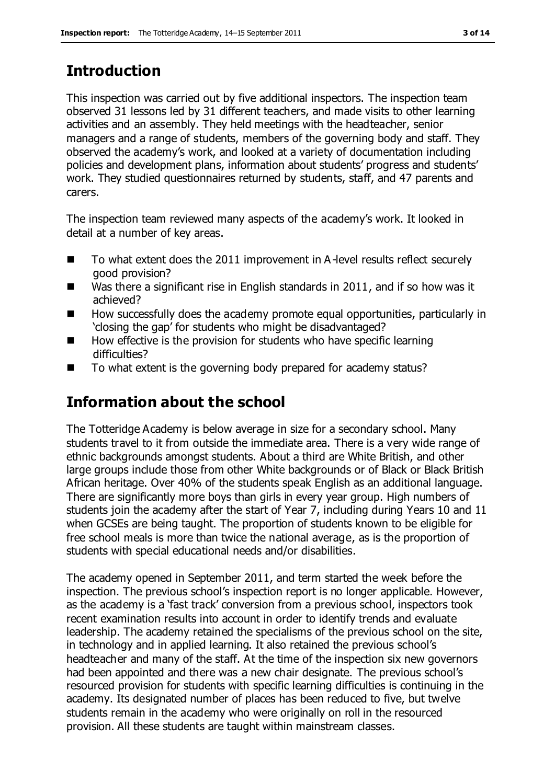# **Introduction**

This inspection was carried out by five additional inspectors. The inspection team observed 31 lessons led by 31 different teachers, and made visits to other learning activities and an assembly. They held meetings with the headteacher, senior managers and a range of students, members of the governing body and staff. They observed the academy's work, and looked at a variety of documentation including policies and development plans, information about students' progress and students' work. They studied questionnaires returned by students, staff, and 47 parents and carers.

The inspection team reviewed many aspects of the academy's work. It looked in detail at a number of key areas.

- To what extent does the 2011 improvement in A-level results reflect securely good provision?
- Was there a significant rise in English standards in 2011, and if so how was it achieved?
- How successfully does the academy promote equal opportunities, particularly in 'closing the gap' for students who might be disadvantaged?
- How effective is the provision for students who have specific learning difficulties?
- To what extent is the governing body prepared for academy status?

# **Information about the school**

The Totteridge Academy is below average in size for a secondary school. Many students travel to it from outside the immediate area. There is a very wide range of ethnic backgrounds amongst students. About a third are White British, and other large groups include those from other White backgrounds or of Black or Black British African heritage. Over 40% of the students speak English as an additional language. There are significantly more boys than girls in every year group. High numbers of students join the academy after the start of Year 7, including during Years 10 and 11 when GCSEs are being taught. The proportion of students known to be eligible for free school meals is more than twice the national average, as is the proportion of students with special educational needs and/or disabilities.

The academy opened in September 2011, and term started the week before the inspection. The previous school's inspection report is no longer applicable. However, as the academy is a 'fast track' conversion from a previous school, inspectors took recent examination results into account in order to identify trends and evaluate leadership. The academy retained the specialisms of the previous school on the site, in technology and in applied learning. It also retained the previous school's headteacher and many of the staff. At the time of the inspection six new governors had been appointed and there was a new chair designate. The previous school's resourced provision for students with specific learning difficulties is continuing in the academy. Its designated number of places has been reduced to five, but twelve students remain in the academy who were originally on roll in the resourced provision. All these students are taught within mainstream classes.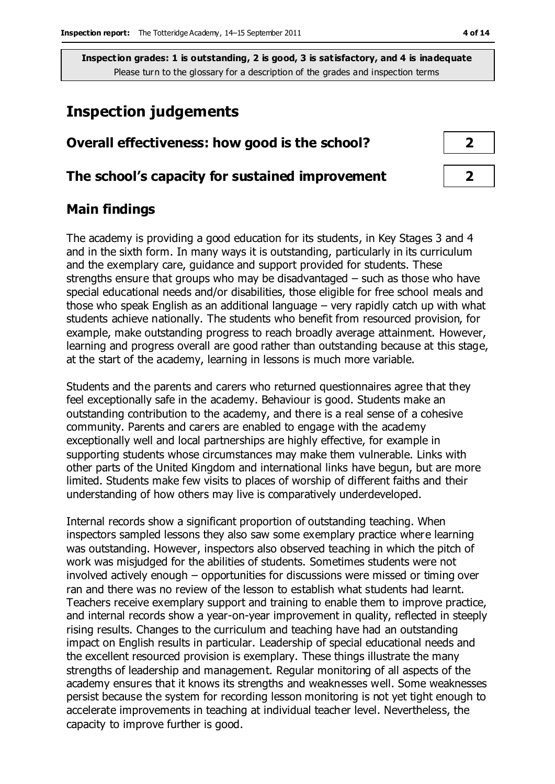# **Inspection judgements**

# **Overall effectiveness: how good is the school? 2**

#### **The school's capacity for sustained improvement 2**

## **Main findings**

The academy is providing a good education for its students, in Key Stages 3 and 4 and in the sixth form. In many ways it is outstanding, particularly in its curriculum and the exemplary care, guidance and support provided for students. These strengths ensure that groups who may be disadvantaged – such as those who have special educational needs and/or disabilities, those eligible for free school meals and those who speak English as an additional language – very rapidly catch up with what students achieve nationally. The students who benefit from resourced provision, for example, make outstanding progress to reach broadly average attainment. However, learning and progress overall are good rather than outstanding because at this stage, at the start of the academy, learning in lessons is much more variable.

Students and the parents and carers who returned questionnaires agree that they feel exceptionally safe in the academy. Behaviour is good. Students make an outstanding contribution to the academy, and there is a real sense of a cohesive community. Parents and carers are enabled to engage with the academy exceptionally well and local partnerships are highly effective, for example in supporting students whose circumstances may make them vulnerable. Links with other parts of the United Kingdom and international links have begun, but are more limited. Students make few visits to places of worship of different faiths and their understanding of how others may live is comparatively underdeveloped.

Internal records show a significant proportion of outstanding teaching. When inspectors sampled lessons they also saw some exemplary practice where learning was outstanding. However, inspectors also observed teaching in which the pitch of work was misjudged for the abilities of students. Sometimes students were not involved actively enough – opportunities for discussions were missed or timing over ran and there was no review of the lesson to establish what students had learnt. Teachers receive exemplary support and training to enable them to improve practice, and internal records show a year-on-year improvement in quality, reflected in steeply rising results. Changes to the curriculum and teaching have had an outstanding impact on English results in particular. Leadership of special educational needs and the excellent resourced provision is exemplary. These things illustrate the many strengths of leadership and management. Regular monitoring of all aspects of the academy ensures that it knows its strengths and weaknesses well. Some weaknesses persist because the system for recording lesson monitoring is not yet tight enough to accelerate improvements in teaching at individual teacher level. Nevertheless, the capacity to improve further is good.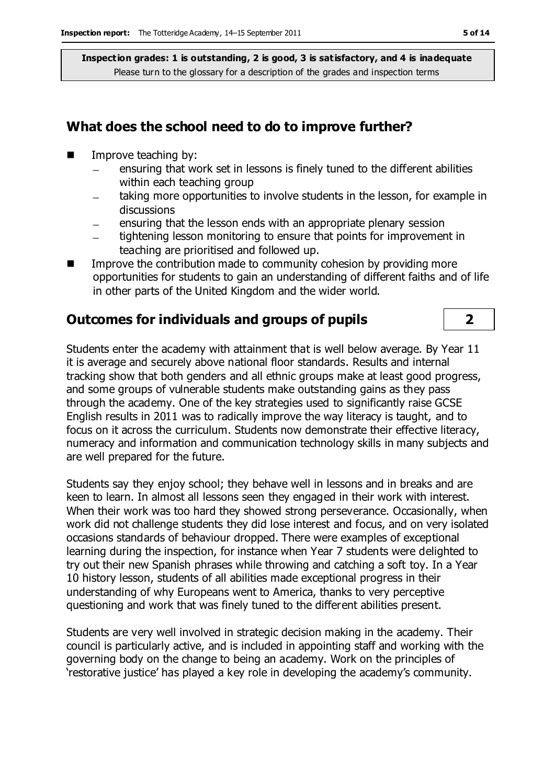## **What does the school need to do to improve further?**

- $\blacksquare$  Improve teaching by:
	- ensuring that work set in lessons is finely tuned to the different abilities  $\overline{\phantom{0}}$ within each teaching group
	- taking more opportunities to involve students in the lesson, for example in discussions
	- ensuring that the lesson ends with an appropriate plenary session
	- tightening lesson monitoring to ensure that points for improvement in  $\equiv$ teaching are prioritised and followed up.
- Improve the contribution made to community cohesion by providing more opportunities for students to gain an understanding of different faiths and of life in other parts of the United Kingdom and the wider world.

# **Outcomes for individuals and groups of pupils 2**

Students enter the academy with attainment that is well below average. By Year 11 it is average and securely above national floor standards. Results and internal tracking show that both genders and all ethnic groups make at least good progress, and some groups of vulnerable students make outstanding gains as they pass through the academy. One of the key strategies used to significantly raise GCSE English results in 2011 was to radically improve the way literacy is taught, and to focus on it across the curriculum. Students now demonstrate their effective literacy, numeracy and information and communication technology skills in many subjects and are well prepared for the future.

Students say they enjoy school; they behave well in lessons and in breaks and are keen to learn. In almost all lessons seen they engaged in their work with interest. When their work was too hard they showed strong perseverance. Occasionally, when work did not challenge students they did lose interest and focus, and on very isolated occasions standards of behaviour dropped. There were examples of exceptional learning during the inspection, for instance when Year 7 students were delighted to try out their new Spanish phrases while throwing and catching a soft toy. In a Year 10 history lesson, students of all abilities made exceptional progress in their understanding of why Europeans went to America, thanks to very perceptive questioning and work that was finely tuned to the different abilities present.

Students are very well involved in strategic decision making in the academy. Their council is particularly active, and is included in appointing staff and working with the governing body on the change to being an academy. Work on the principles of 'restorative justice' has played a key role in developing the academy's community.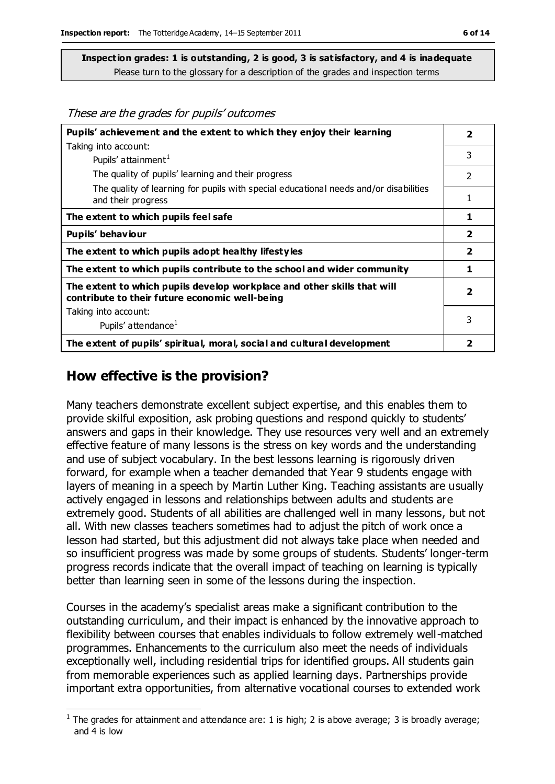| Pupils' achievement and the extent to which they enjoy their learning                                                     | $\overline{\mathbf{2}}$  |
|---------------------------------------------------------------------------------------------------------------------------|--------------------------|
| Taking into account:                                                                                                      |                          |
| Pupils' attainment <sup>1</sup>                                                                                           | 3                        |
| The quality of pupils' learning and their progress                                                                        | $\mathcal{P}$            |
| The quality of learning for pupils with special educational needs and/or disabilities<br>and their progress               | 1                        |
| The extent to which pupils feel safe                                                                                      | 1                        |
| Pupils' behaviour                                                                                                         | $\overline{\mathbf{2}}$  |
| The extent to which pupils adopt healthy lifestyles                                                                       | $\overline{\mathbf{2}}$  |
| The extent to which pupils contribute to the school and wider community                                                   | 1                        |
| The extent to which pupils develop workplace and other skills that will<br>contribute to their future economic well-being | $\overline{\phantom{a}}$ |
| Taking into account:                                                                                                      |                          |
| Pupils' attendance <sup>1</sup>                                                                                           | 3                        |
| The extent of pupils' spiritual, moral, social and cultural development                                                   | 2                        |

# **How effective is the provision?**

Many teachers demonstrate excellent subject expertise, and this enables them to provide skilful exposition, ask probing questions and respond quickly to students' answers and gaps in their knowledge. They use resources very well and an extremely effective feature of many lessons is the stress on key words and the understanding and use of subject vocabulary. In the best lessons learning is rigorously driven forward, for example when a teacher demanded that Year 9 students engage with layers of meaning in a speech by Martin Luther King. Teaching assistants are usually actively engaged in lessons and relationships between adults and students are extremely good. Students of all abilities are challenged well in many lessons, but not all. With new classes teachers sometimes had to adjust the pitch of work once a lesson had started, but this adjustment did not always take place when needed and so insufficient progress was made by some groups of students. Students' longer-term progress records indicate that the overall impact of teaching on learning is typically better than learning seen in some of the lessons during the inspection.

Courses in the academy's specialist areas make a significant contribution to the outstanding curriculum, and their impact is enhanced by the innovative approach to flexibility between courses that enables individuals to follow extremely well-matched programmes. Enhancements to the curriculum also meet the needs of individuals exceptionally well, including residential trips for identified groups. All students gain from memorable experiences such as applied learning days. Partnerships provide important extra opportunities, from alternative vocational courses to extended work

 $\overline{a}$ <sup>1</sup> The grades for attainment and attendance are: 1 is high; 2 is above average; 3 is broadly average; and 4 is low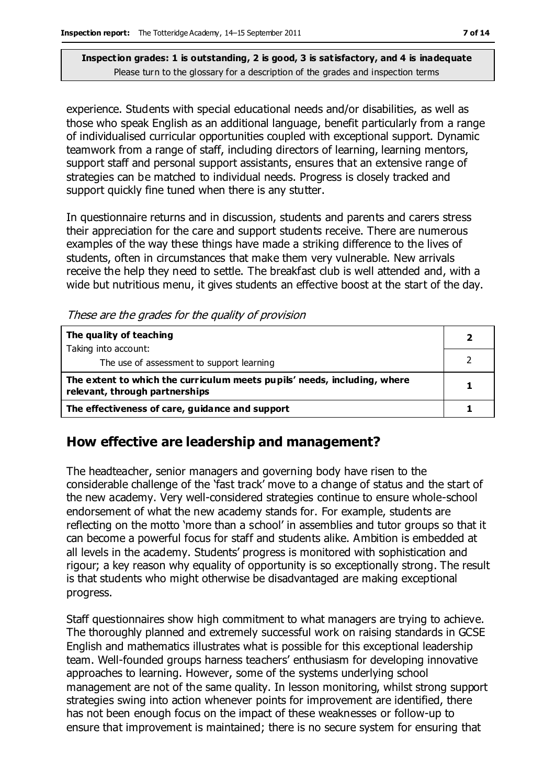experience. Students with special educational needs and/or disabilities, as well as those who speak English as an additional language, benefit particularly from a range of individualised curricular opportunities coupled with exceptional support. Dynamic teamwork from a range of staff, including directors of learning, learning mentors, support staff and personal support assistants, ensures that an extensive range of strategies can be matched to individual needs. Progress is closely tracked and support quickly fine tuned when there is any stutter.

In questionnaire returns and in discussion, students and parents and carers stress their appreciation for the care and support students receive. There are numerous examples of the way these things have made a striking difference to the lives of students, often in circumstances that make them very vulnerable. New arrivals receive the help they need to settle. The breakfast club is well attended and, with a wide but nutritious menu, it gives students an effective boost at the start of the day.

These are the grades for the quality of provision

| The quality of teaching                                                                                    |  |
|------------------------------------------------------------------------------------------------------------|--|
| Taking into account:<br>The use of assessment to support learning                                          |  |
| The extent to which the curriculum meets pupils' needs, including, where<br>relevant, through partnerships |  |
| The effectiveness of care, guidance and support                                                            |  |

### **How effective are leadership and management?**

The headteacher, senior managers and governing body have risen to the considerable challenge of the 'fast track' move to a change of status and the start of the new academy. Very well-considered strategies continue to ensure whole-school endorsement of what the new academy stands for. For example, students are reflecting on the motto 'more than a school' in assemblies and tutor groups so that it can become a powerful focus for staff and students alike. Ambition is embedded at all levels in the academy. Students' progress is monitored with sophistication and rigour; a key reason why equality of opportunity is so exceptionally strong. The result is that students who might otherwise be disadvantaged are making exceptional progress.

Staff questionnaires show high commitment to what managers are trying to achieve. The thoroughly planned and extremely successful work on raising standards in GCSE English and mathematics illustrates what is possible for this exceptional leadership team. Well-founded groups harness teachers' enthusiasm for developing innovative approaches to learning. However, some of the systems underlying school management are not of the same quality. In lesson monitoring, whilst strong support strategies swing into action whenever points for improvement are identified, there has not been enough focus on the impact of these weaknesses or follow-up to ensure that improvement is maintained; there is no secure system for ensuring that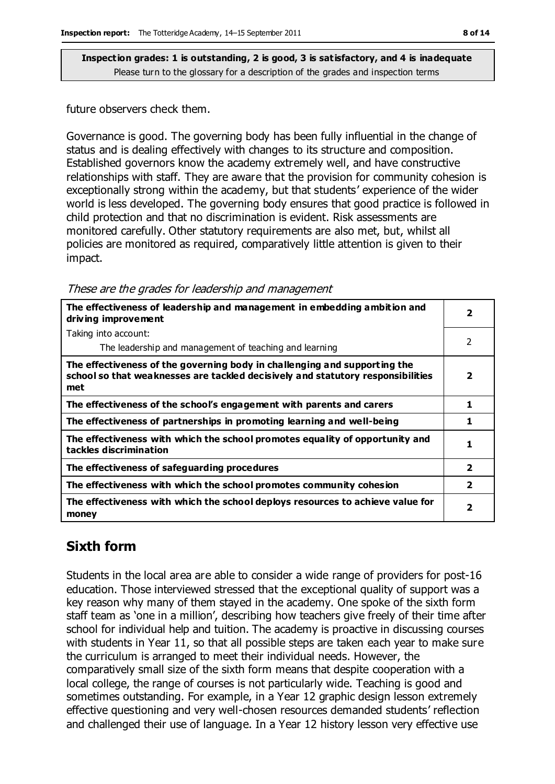future observers check them.

Governance is good. The governing body has been fully influential in the change of status and is dealing effectively with changes to its structure and composition. Established governors know the academy extremely well, and have constructive relationships with staff. They are aware that the provision for community cohesion is exceptionally strong within the academy, but that students' experience of the wider world is less developed. The governing body ensures that good practice is followed in child protection and that no discrimination is evident. Risk assessments are monitored carefully. Other statutory requirements are also met, but, whilst all policies are monitored as required, comparatively little attention is given to their impact.

| The effectiveness of leadership and management in embedding ambition and<br>driving improvement                                                                     |                         |
|---------------------------------------------------------------------------------------------------------------------------------------------------------------------|-------------------------|
| Taking into account:                                                                                                                                                |                         |
| The leadership and management of teaching and learning                                                                                                              | $\mathcal{P}$           |
| The effectiveness of the governing body in challenging and supporting the<br>school so that weaknesses are tackled decisively and statutory responsibilities<br>met | 2                       |
| The effectiveness of the school's engagement with parents and carers                                                                                                | 1                       |
| The effectiveness of partnerships in promoting learning and well-being                                                                                              | 1                       |
| The effectiveness with which the school promotes equality of opportunity and<br>tackles discrimination                                                              | 1                       |
| The effectiveness of safeguarding procedures                                                                                                                        | $\overline{\mathbf{2}}$ |
| The effectiveness with which the school promotes community cohesion                                                                                                 | $\overline{\mathbf{2}}$ |
| The effectiveness with which the school deploys resources to achieve value for<br>money                                                                             | 2                       |

# **Sixth form**

Students in the local area are able to consider a wide range of providers for post-16 education. Those interviewed stressed that the exceptional quality of support was a key reason why many of them stayed in the academy. One spoke of the sixth form staff team as 'one in a million', describing how teachers give freely of their time after school for individual help and tuition. The academy is proactive in discussing courses with students in Year 11, so that all possible steps are taken each year to make sure the curriculum is arranged to meet their individual needs. However, the comparatively small size of the sixth form means that despite cooperation with a local college, the range of courses is not particularly wide. Teaching is good and sometimes outstanding. For example, in a Year 12 graphic design lesson extremely effective questioning and very well-chosen resources demanded students' reflection and challenged their use of language. In a Year 12 history lesson very effective use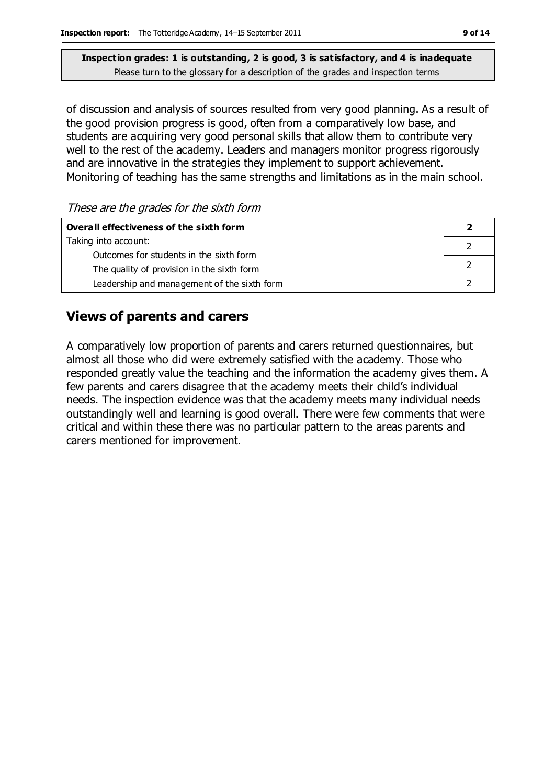of discussion and analysis of sources resulted from very good planning. As a result of the good provision progress is good, often from a comparatively low base, and students are acquiring very good personal skills that allow them to contribute very well to the rest of the academy. Leaders and managers monitor progress rigorously and are innovative in the strategies they implement to support achievement. Monitoring of teaching has the same strengths and limitations as in the main school.

These are the grades for the sixth form

| Overall effectiveness of the sixth form     |  |  |
|---------------------------------------------|--|--|
| Taking into account:                        |  |  |
| Outcomes for students in the sixth form     |  |  |
| The quality of provision in the sixth form  |  |  |
| Leadership and management of the sixth form |  |  |

# **Views of parents and carers**

A comparatively low proportion of parents and carers returned questionnaires, but almost all those who did were extremely satisfied with the academy. Those who responded greatly value the teaching and the information the academy gives them. A few parents and carers disagree that the academy meets their child's individual needs. The inspection evidence was that the academy meets many individual needs outstandingly well and learning is good overall. There were few comments that were critical and within these there was no particular pattern to the areas parents and carers mentioned for improvement.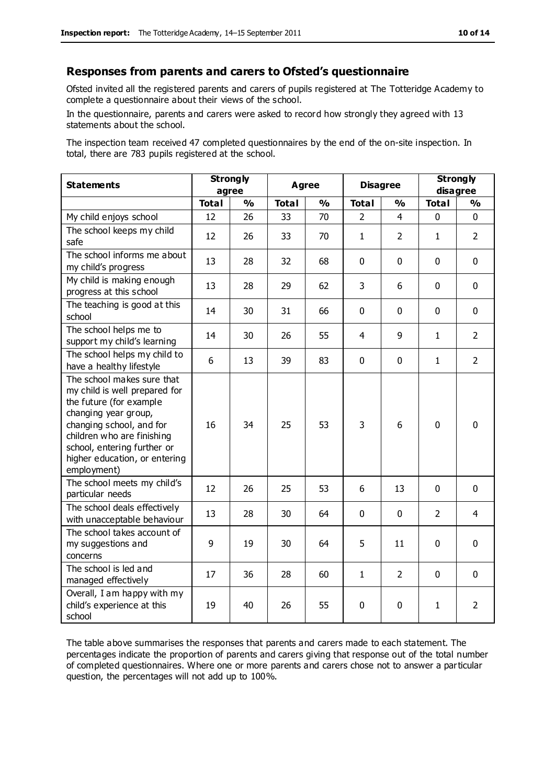#### **Responses from parents and carers to Ofsted's questionnaire**

Ofsted invited all the registered parents and carers of pupils registered at The Totteridge Academy to complete a questionnaire about their views of the school.

In the questionnaire, parents and carers were asked to record how strongly they agreed with 13 statements about the school.

The inspection team received 47 completed questionnaires by the end of the on-site inspection. In total, there are 783 pupils registered at the school.

| <b>Statements</b>                                                                                                                                                                                                                                       | <b>Strongly</b><br>agree |               | <b>Agree</b> |               | <b>Disagree</b> |                | <b>Strongly</b><br>disagree |                |
|---------------------------------------------------------------------------------------------------------------------------------------------------------------------------------------------------------------------------------------------------------|--------------------------|---------------|--------------|---------------|-----------------|----------------|-----------------------------|----------------|
|                                                                                                                                                                                                                                                         | <b>Total</b>             | $\frac{0}{0}$ | <b>Total</b> | $\frac{0}{0}$ | <b>Total</b>    | $\frac{1}{2}$  | <b>Total</b>                | $\frac{1}{2}$  |
| My child enjoys school                                                                                                                                                                                                                                  | 12                       | 26            | 33           | 70            | $\mathcal{P}$   | 4              | 0                           | $\Omega$       |
| The school keeps my child<br>safe                                                                                                                                                                                                                       | 12                       | 26            | 33           | 70            | $\mathbf{1}$    | $\overline{2}$ | $\mathbf{1}$                | $\overline{2}$ |
| The school informs me about<br>my child's progress                                                                                                                                                                                                      | 13                       | 28            | 32           | 68            | 0               | $\mathbf 0$    | $\mathbf 0$                 | $\mathbf 0$    |
| My child is making enough<br>progress at this school                                                                                                                                                                                                    | 13                       | 28            | 29           | 62            | 3               | 6              | $\mathbf 0$                 | $\mathbf 0$    |
| The teaching is good at this<br>school                                                                                                                                                                                                                  | 14                       | 30            | 31           | 66            | 0               | $\mathbf 0$    | $\mathbf 0$                 | $\mathbf 0$    |
| The school helps me to<br>support my child's learning                                                                                                                                                                                                   | 14                       | 30            | 26           | 55            | 4               | 9              | $\mathbf{1}$                | $\overline{2}$ |
| The school helps my child to<br>have a healthy lifestyle                                                                                                                                                                                                | 6                        | 13            | 39           | 83            | $\mathbf 0$     | $\mathbf 0$    | $\mathbf{1}$                | $\overline{2}$ |
| The school makes sure that<br>my child is well prepared for<br>the future (for example<br>changing year group,<br>changing school, and for<br>children who are finishing<br>school, entering further or<br>higher education, or entering<br>employment) | 16                       | 34            | 25           | 53            | 3               | 6              | $\mathbf 0$                 | 0              |
| The school meets my child's<br>particular needs                                                                                                                                                                                                         | 12                       | 26            | 25           | 53            | 6               | 13             | $\mathbf 0$                 | $\mathbf 0$    |
| The school deals effectively<br>with unacceptable behaviour                                                                                                                                                                                             | 13                       | 28            | 30           | 64            | $\mathbf 0$     | $\mathbf 0$    | $\overline{2}$              | 4              |
| The school takes account of<br>my suggestions and<br>concerns                                                                                                                                                                                           | 9                        | 19            | 30           | 64            | 5               | 11             | $\mathbf 0$                 | $\mathbf 0$    |
| The school is led and<br>managed effectively                                                                                                                                                                                                            | 17                       | 36            | 28           | 60            | $\mathbf{1}$    | $\overline{2}$ | $\mathbf 0$                 | $\mathbf 0$    |
| Overall, I am happy with my<br>child's experience at this<br>school                                                                                                                                                                                     | 19                       | 40            | 26           | 55            | 0               | 0              | $\mathbf{1}$                | $\overline{2}$ |

The table above summarises the responses that parents and carers made to each statement. The percentages indicate the proportion of parents and carers giving that response out of the total number of completed questionnaires. Where one or more parents and carers chose not to answer a particular question, the percentages will not add up to 100%.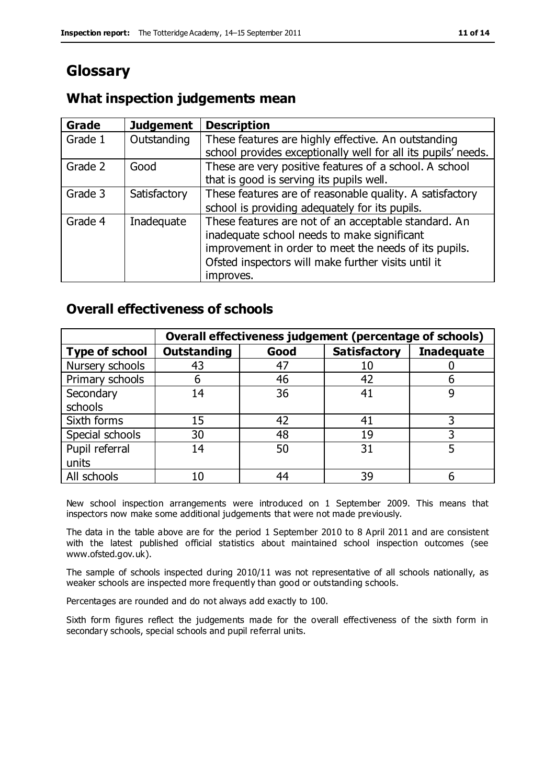# **Glossary**

## **What inspection judgements mean**

| Grade   | <b>Judgement</b> | <b>Description</b>                                            |
|---------|------------------|---------------------------------------------------------------|
| Grade 1 | Outstanding      | These features are highly effective. An outstanding           |
|         |                  | school provides exceptionally well for all its pupils' needs. |
| Grade 2 | Good             | These are very positive features of a school. A school        |
|         |                  | that is good is serving its pupils well.                      |
| Grade 3 | Satisfactory     | These features are of reasonable quality. A satisfactory      |
|         |                  | school is providing adequately for its pupils.                |
| Grade 4 | Inadequate       | These features are not of an acceptable standard. An          |
|         |                  | inadequate school needs to make significant                   |
|         |                  | improvement in order to meet the needs of its pupils.         |
|         |                  | Ofsted inspectors will make further visits until it           |
|         |                  | improves.                                                     |

## **Overall effectiveness of schools**

|                       |                    |      | Overall effectiveness judgement (percentage of schools) |                   |
|-----------------------|--------------------|------|---------------------------------------------------------|-------------------|
| <b>Type of school</b> | <b>Outstanding</b> | Good | <b>Satisfactory</b>                                     | <b>Inadequate</b> |
| Nursery schools       | 43                 | 47   | 10                                                      |                   |
| Primary schools       | h                  | 46   | 42                                                      |                   |
| Secondary             | 14                 | 36   | 41                                                      |                   |
| schools               |                    |      |                                                         |                   |
| Sixth forms           | 15                 | 42   | 41                                                      | 3                 |
| Special schools       | 30                 | 48   | 19                                                      |                   |
| Pupil referral        | 14                 | 50   | 31                                                      |                   |
| units                 |                    |      |                                                         |                   |
| All schools           | 10                 | 44   | 39                                                      |                   |

New school inspection arrangements were introduced on 1 September 2009. This means that inspectors now make some additional judgements that were not made previously.

The data in the table above are for the period 1 September 2010 to 8 April 2011 and are consistent with the latest published official statistics about maintained school inspection outcomes (see www.ofsted.gov.uk).

The sample of schools inspected during 2010/11 was not representative of all schools nationally, as weaker schools are inspected more frequently than good or outstanding schools.

Percentages are rounded and do not always add exactly to 100.

Sixth form figures reflect the judgements made for the overall effectiveness of the sixth form in secondary schools, special schools and pupil referral units.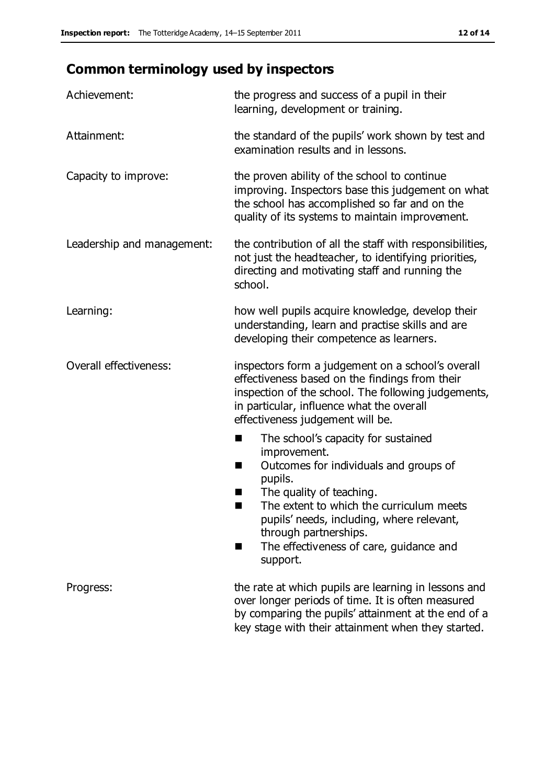# **Common terminology used by inspectors**

| Achievement:                  | the progress and success of a pupil in their<br>learning, development or training.                                                                                                                                                                                                                                           |  |
|-------------------------------|------------------------------------------------------------------------------------------------------------------------------------------------------------------------------------------------------------------------------------------------------------------------------------------------------------------------------|--|
| Attainment:                   | the standard of the pupils' work shown by test and<br>examination results and in lessons.                                                                                                                                                                                                                                    |  |
| Capacity to improve:          | the proven ability of the school to continue<br>improving. Inspectors base this judgement on what<br>the school has accomplished so far and on the<br>quality of its systems to maintain improvement.                                                                                                                        |  |
| Leadership and management:    | the contribution of all the staff with responsibilities,<br>not just the headteacher, to identifying priorities,<br>directing and motivating staff and running the<br>school.                                                                                                                                                |  |
| Learning:                     | how well pupils acquire knowledge, develop their<br>understanding, learn and practise skills and are<br>developing their competence as learners.                                                                                                                                                                             |  |
| <b>Overall effectiveness:</b> | inspectors form a judgement on a school's overall<br>effectiveness based on the findings from their<br>inspection of the school. The following judgements,<br>in particular, influence what the overall<br>effectiveness judgement will be.                                                                                  |  |
|                               | The school's capacity for sustained<br>ш<br>improvement.<br>Outcomes for individuals and groups of<br>п<br>pupils.<br>The quality of teaching.<br>The extent to which the curriculum meets<br>pupils' needs, including, where relevant,<br>through partnerships.<br>The effectiveness of care, guidance and<br>■<br>support. |  |
| Progress:                     | the rate at which pupils are learning in lessons and<br>over longer periods of time. It is often measured<br>by comparing the pupils' attainment at the end of a<br>key stage with their attainment when they started.                                                                                                       |  |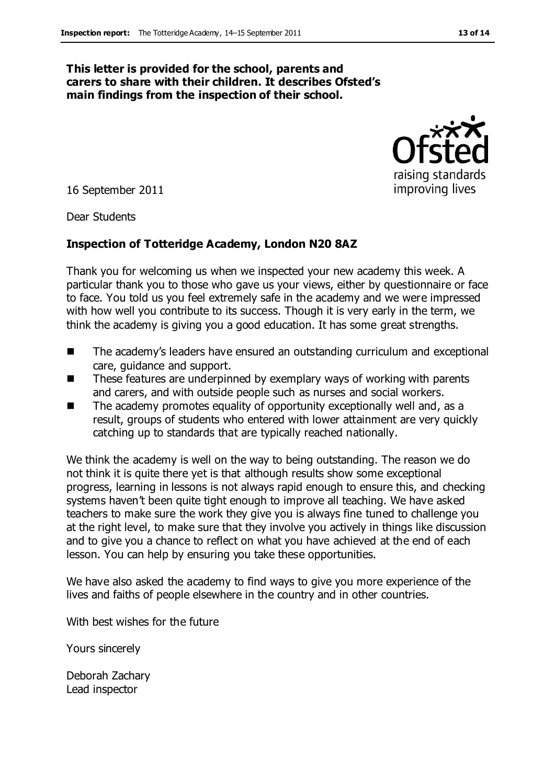#### **This letter is provided for the school, parents and carers to share with their children. It describes Ofsted's main findings from the inspection of their school.**

16 September 2011

Dear Students

#### **Inspection of Totteridge Academy, London N20 8AZ**

Thank you for welcoming us when we inspected your new academy this week. A particular thank you to those who gave us your views, either by questionnaire or face to face. You told us you feel extremely safe in the academy and we were impressed with how well you contribute to its success. Though it is very early in the term, we think the academy is giving you a good education. It has some great strengths.

- The academy's leaders have ensured an outstanding curriculum and exceptional care, guidance and support.
- These features are underpinned by exemplary ways of working with parents and carers, and with outside people such as nurses and social workers.
- The academy promotes equality of opportunity exceptionally well and, as a result, groups of students who entered with lower attainment are very quickly catching up to standards that are typically reached nationally.

We think the academy is well on the way to being outstanding. The reason we do not think it is quite there yet is that although results show some exceptional progress, learning in lessons is not always rapid enough to ensure this, and checking systems haven't been quite tight enough to improve all teaching. We have asked teachers to make sure the work they give you is always fine tuned to challenge you at the right level, to make sure that they involve you actively in things like discussion and to give you a chance to reflect on what you have achieved at the end of each lesson. You can help by ensuring you take these opportunities.

We have also asked the academy to find ways to give you more experience of the lives and faiths of people elsewhere in the country and in other countries.

With best wishes for the future

Yours sincerely

Deborah Zachary Lead inspector